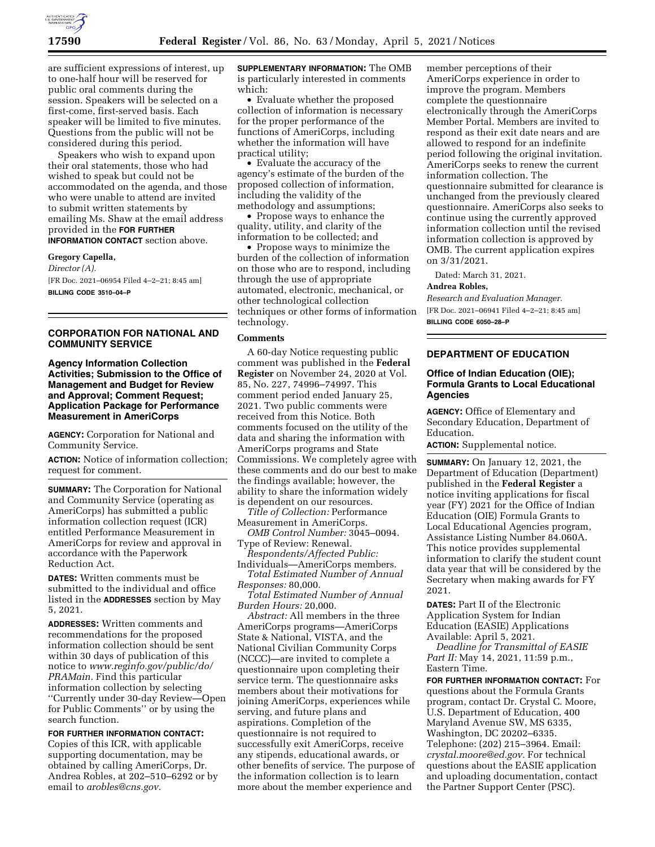

are sufficient expressions of interest, up to one-half hour will be reserved for public oral comments during the session. Speakers will be selected on a first-come, first-served basis. Each speaker will be limited to five minutes. Questions from the public will not be considered during this period.

Speakers who wish to expand upon their oral statements, those who had wished to speak but could not be accommodated on the agenda, and those who were unable to attend are invited to submit written statements by emailing Ms. Shaw at the email address provided in the **FOR FURTHER INFORMATION CONTACT** section above.

**Gregory Capella,** 

# *Director (A).*  [FR Doc. 2021–06954 Filed 4–2–21; 8:45 am]

**BILLING CODE 3510–04–P** 

# **CORPORATION FOR NATIONAL AND COMMUNITY SERVICE**

## **Agency Information Collection Activities; Submission to the Office of Management and Budget for Review and Approval; Comment Request; Application Package for Performance Measurement in AmeriCorps**

**AGENCY:** Corporation for National and Community Service.

**ACTION:** Notice of information collection; request for comment.

**SUMMARY:** The Corporation for National and Community Service (operating as AmeriCorps) has submitted a public information collection request (ICR) entitled Performance Measurement in AmeriCorps for review and approval in accordance with the Paperwork Reduction Act.

**DATES:** Written comments must be submitted to the individual and office listed in the **ADDRESSES** section by May 5, 2021.

**ADDRESSES:** Written comments and recommendations for the proposed information collection should be sent within 30 days of publication of this notice to *[www.reginfo.gov/public/do/](http://www.reginfo.gov/public/do/PRAMain) [PRAMain.](http://www.reginfo.gov/public/do/PRAMain)* Find this particular information collection by selecting ''Currently under 30-day Review—Open for Public Comments'' or by using the search function.

**FOR FURTHER INFORMATION CONTACT:**  Copies of this ICR, with applicable supporting documentation, may be obtained by calling AmeriCorps, Dr. Andrea Robles, at 202–510–6292 or by email to *[arobles@cns.gov.](mailto:arobles@cns.gov)* 

**SUPPLEMENTARY INFORMATION:** The OMB is particularly interested in comments which:

• Evaluate whether the proposed collection of information is necessary for the proper performance of the functions of AmeriCorps, including whether the information will have practical utility;

• Evaluate the accuracy of the agency's estimate of the burden of the proposed collection of information, including the validity of the methodology and assumptions;

• Propose ways to enhance the quality, utility, and clarity of the information to be collected; and

• Propose ways to minimize the burden of the collection of information on those who are to respond, including through the use of appropriate automated, electronic, mechanical, or other technological collection techniques or other forms of information technology.

## **Comments**

A 60-day Notice requesting public comment was published in the **Federal Register** on November 24, 2020 at Vol. 85, No. 227, 74996–74997. This comment period ended January 25, 2021. Two public comments were received from this Notice. Both comments focused on the utility of the data and sharing the information with AmeriCorps programs and State Commissions. We completely agree with these comments and do our best to make the findings available; however, the ability to share the information widely is dependent on our resources.

*Title of Collection:* Performance Measurement in AmeriCorps.

*OMB Control Number:* 3045–0094. Type of Review: Renewal.

*Respondents/Affected Public:*  Individuals—AmeriCorps members.

*Total Estimated Number of Annual Responses:* 80,000.

*Total Estimated Number of Annual Burden Hours:* 20,000.

*Abstract:* All members in the three AmeriCorps programs—AmeriCorps State & National, VISTA, and the National Civilian Community Corps (NCCC)—are invited to complete a questionnaire upon completing their service term. The questionnaire asks members about their motivations for joining AmeriCorps, experiences while serving, and future plans and aspirations. Completion of the questionnaire is not required to successfully exit AmeriCorps, receive any stipends, educational awards, or other benefits of service. The purpose of the information collection is to learn more about the member experience and

member perceptions of their AmeriCorps experience in order to improve the program. Members complete the questionnaire electronically through the AmeriCorps Member Portal. Members are invited to respond as their exit date nears and are allowed to respond for an indefinite period following the original invitation. AmeriCorps seeks to renew the current information collection. The questionnaire submitted for clearance is unchanged from the previously cleared questionnaire. AmeriCorps also seeks to continue using the currently approved information collection until the revised information collection is approved by OMB. The current application expires on 3/31/2021.

Dated: March 31, 2021.

## **Andrea Robles,**

*Research and Evaluation Manager.*  [FR Doc. 2021–06941 Filed 4–2–21; 8:45 am] **BILLING CODE 6050–28–P** 

## **DEPARTMENT OF EDUCATION**

# **Office of Indian Education (OIE); Formula Grants to Local Educational Agencies**

**AGENCY:** Office of Elementary and Secondary Education, Department of Education.

**ACTION:** Supplemental notice.

**SUMMARY:** On January 12, 2021, the Department of Education (Department) published in the **Federal Register** a notice inviting applications for fiscal year (FY) 2021 for the Office of Indian Education (OIE) Formula Grants to Local Educational Agencies program, Assistance Listing Number 84.060A. This notice provides supplemental information to clarify the student count data year that will be considered by the Secretary when making awards for FY 2021.

**DATES:** Part II of the Electronic Application System for Indian Education (EASIE) Applications Available: April 5, 2021.

*Deadline for Transmittal of EASIE Part II:* May 14, 2021, 11:59 p.m., Eastern Time.

**FOR FURTHER INFORMATION CONTACT:** For questions about the Formula Grants program, contact Dr. Crystal C. Moore, U.S. Department of Education, 400 Maryland Avenue SW, MS 6335, Washington, DC 20202–6335. Telephone: (202) 215–3964. Email: *[crystal.moore@ed.gov.](mailto:crystal.moore@ed.gov)* For technical questions about the EASIE application and uploading documentation, contact the Partner Support Center (PSC).